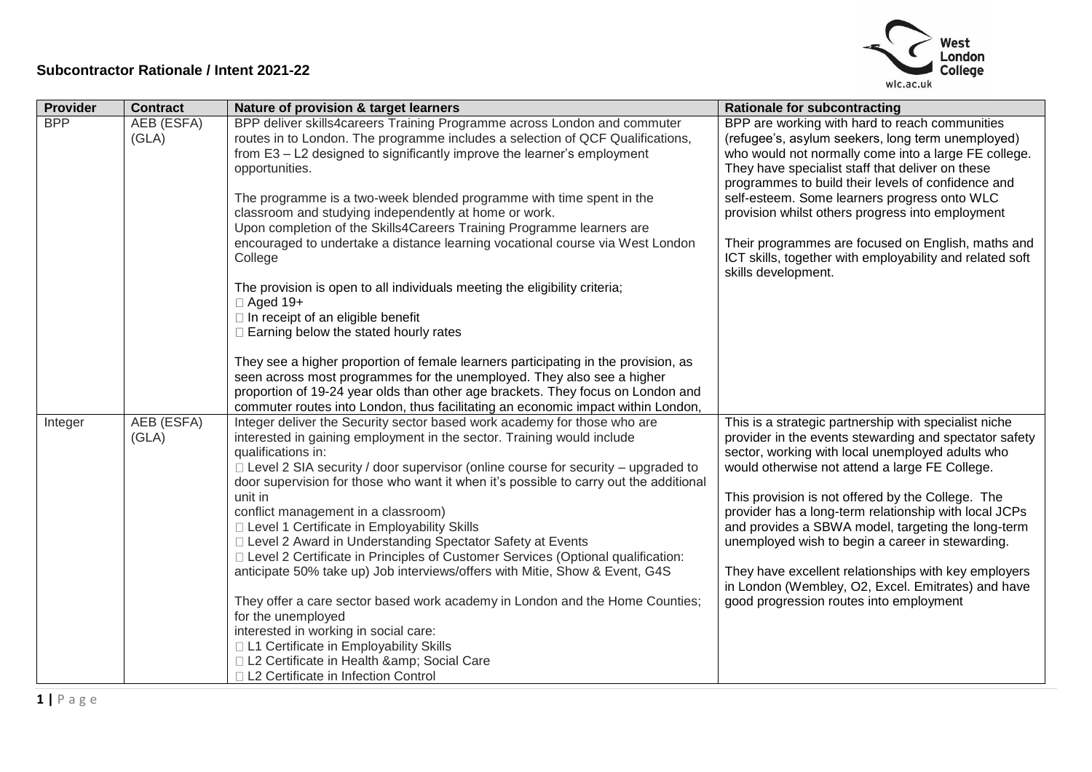

| Provider   | <b>Contract</b> | Nature of provision & target learners                                                 | <b>Rationale for subcontracting</b>                                                                        |
|------------|-----------------|---------------------------------------------------------------------------------------|------------------------------------------------------------------------------------------------------------|
| <b>BPP</b> | AEB (ESFA)      | BPP deliver skills4careers Training Programme across London and commuter              | BPP are working with hard to reach communities                                                             |
|            | (GLA)           | routes in to London. The programme includes a selection of QCF Qualifications,        | (refugee's, asylum seekers, long term unemployed)                                                          |
|            |                 | from E3 - L2 designed to significantly improve the learner's employment               | who would not normally come into a large FE college.                                                       |
|            |                 | opportunities.                                                                        | They have specialist staff that deliver on these<br>programmes to build their levels of confidence and     |
|            |                 | The programme is a two-week blended programme with time spent in the                  | self-esteem. Some learners progress onto WLC                                                               |
|            |                 | classroom and studying independently at home or work.                                 | provision whilst others progress into employment                                                           |
|            |                 | Upon completion of the Skills4Careers Training Programme learners are                 |                                                                                                            |
|            |                 | encouraged to undertake a distance learning vocational course via West London         | Their programmes are focused on English, maths and                                                         |
|            |                 | College                                                                               | ICT skills, together with employability and related soft                                                   |
|            |                 |                                                                                       | skills development.                                                                                        |
|            |                 | The provision is open to all individuals meeting the eligibility criteria;            |                                                                                                            |
|            |                 | $\Box$ Aged 19+                                                                       |                                                                                                            |
|            |                 | $\Box$ In receipt of an eligible benefit                                              |                                                                                                            |
|            |                 | $\Box$ Earning below the stated hourly rates                                          |                                                                                                            |
|            |                 | They see a higher proportion of female learners participating in the provision, as    |                                                                                                            |
|            |                 | seen across most programmes for the unemployed. They also see a higher                |                                                                                                            |
|            |                 | proportion of 19-24 year olds than other age brackets. They focus on London and       |                                                                                                            |
|            |                 | commuter routes into London, thus facilitating an economic impact within London,      |                                                                                                            |
| Integer    | AEB (ESFA)      | Integer deliver the Security sector based work academy for those who are              | This is a strategic partnership with specialist niche                                                      |
|            | (GLA)           | interested in gaining employment in the sector. Training would include                | provider in the events stewarding and spectator safety                                                     |
|            |                 | qualifications in:                                                                    | sector, working with local unemployed adults who                                                           |
|            |                 | □ Level 2 SIA security / door supervisor (online course for security - upgraded to    | would otherwise not attend a large FE College.                                                             |
|            |                 | door supervision for those who want it when it's possible to carry out the additional |                                                                                                            |
|            |                 | unit in<br>conflict management in a classroom)                                        | This provision is not offered by the College. The<br>provider has a long-term relationship with local JCPs |
|            |                 | □ Level 1 Certificate in Employability Skills                                         | and provides a SBWA model, targeting the long-term                                                         |
|            |                 | □ Level 2 Award in Understanding Spectator Safety at Events                           | unemployed wish to begin a career in stewarding.                                                           |
|            |                 | □ Level 2 Certificate in Principles of Customer Services (Optional qualification:     |                                                                                                            |
|            |                 | anticipate 50% take up) Job interviews/offers with Mitie, Show & Event, G4S           | They have excellent relationships with key employers                                                       |
|            |                 |                                                                                       | in London (Wembley, O2, Excel. Emitrates) and have                                                         |
|            |                 | They offer a care sector based work academy in London and the Home Counties;          | good progression routes into employment                                                                    |
|            |                 | for the unemployed                                                                    |                                                                                                            |
|            |                 | interested in working in social care:                                                 |                                                                                                            |
|            |                 | □ L1 Certificate in Employability Skills                                              |                                                                                                            |
|            |                 | □ L2 Certificate in Health & Social Care<br>□ L2 Certificate in Infection Control     |                                                                                                            |
|            |                 |                                                                                       |                                                                                                            |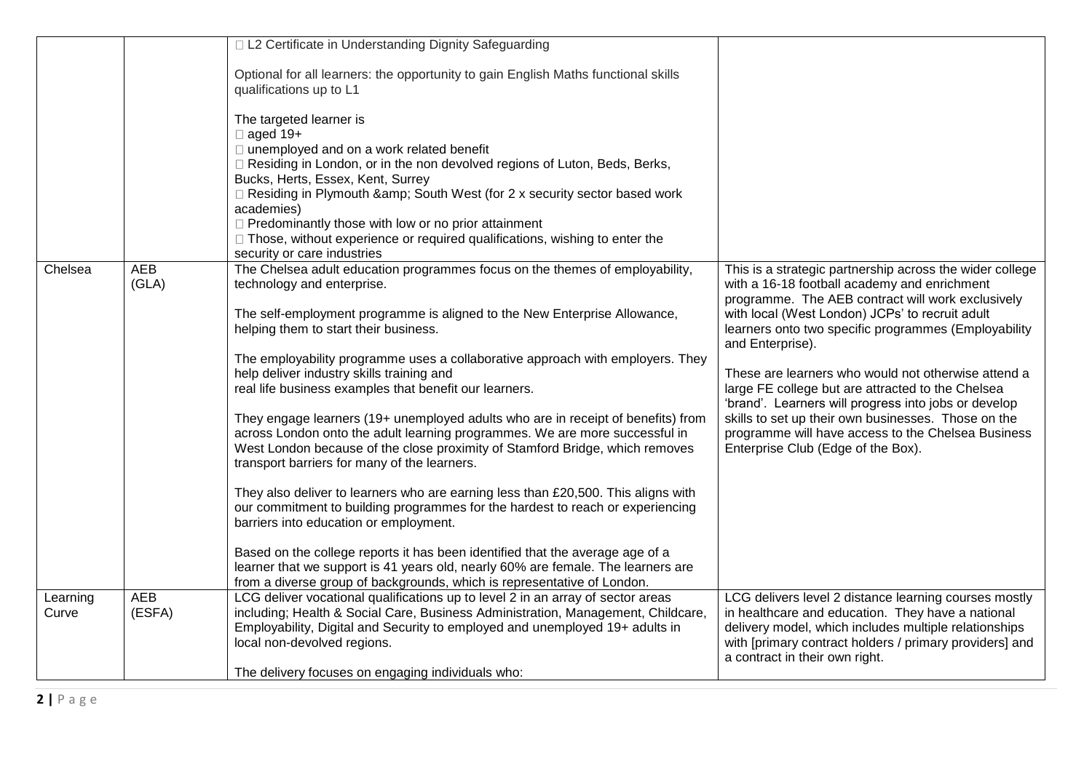|          |                     | □ L2 Certificate in Understanding Dignity Safeguarding                                                                                                                                                                                                                                                                                                                                                                                                                             |                                                                                                                                                                                                         |
|----------|---------------------|------------------------------------------------------------------------------------------------------------------------------------------------------------------------------------------------------------------------------------------------------------------------------------------------------------------------------------------------------------------------------------------------------------------------------------------------------------------------------------|---------------------------------------------------------------------------------------------------------------------------------------------------------------------------------------------------------|
|          |                     | Optional for all learners: the opportunity to gain English Maths functional skills<br>qualifications up to L1                                                                                                                                                                                                                                                                                                                                                                      |                                                                                                                                                                                                         |
|          |                     | The targeted learner is<br>$\Box$ aged 19+<br>□ unemployed and on a work related benefit<br>□ Residing in London, or in the non devolved regions of Luton, Beds, Berks,<br>Bucks, Herts, Essex, Kent, Surrey<br>□ Residing in Plymouth & South West (for 2 x security sector based work<br>academies)<br>$\Box$ Predominantly those with low or no prior attainment<br>□ Those, without experience or required qualifications, wishing to enter the<br>security or care industries |                                                                                                                                                                                                         |
| Chelsea  | <b>AEB</b><br>(GLA) | The Chelsea adult education programmes focus on the themes of employability,<br>technology and enterprise.                                                                                                                                                                                                                                                                                                                                                                         | This is a strategic partnership across the wider college<br>with a 16-18 football academy and enrichment                                                                                                |
|          |                     | The self-employment programme is aligned to the New Enterprise Allowance,<br>helping them to start their business.                                                                                                                                                                                                                                                                                                                                                                 | programme. The AEB contract will work exclusively<br>with local (West London) JCPs' to recruit adult<br>learners onto two specific programmes (Employability<br>and Enterprise).                        |
|          |                     | The employability programme uses a collaborative approach with employers. They<br>help deliver industry skills training and<br>real life business examples that benefit our learners.                                                                                                                                                                                                                                                                                              | These are learners who would not otherwise attend a<br>large FE college but are attracted to the Chelsea                                                                                                |
|          |                     | They engage learners (19+ unemployed adults who are in receipt of benefits) from<br>across London onto the adult learning programmes. We are more successful in<br>West London because of the close proximity of Stamford Bridge, which removes<br>transport barriers for many of the learners.                                                                                                                                                                                    | 'brand'. Learners will progress into jobs or develop<br>skills to set up their own businesses. Those on the<br>programme will have access to the Chelsea Business<br>Enterprise Club (Edge of the Box). |
|          |                     | They also deliver to learners who are earning less than £20,500. This aligns with<br>our commitment to building programmes for the hardest to reach or experiencing<br>barriers into education or employment.                                                                                                                                                                                                                                                                      |                                                                                                                                                                                                         |
|          |                     | Based on the college reports it has been identified that the average age of a<br>learner that we support is 41 years old, nearly 60% are female. The learners are<br>from a diverse group of backgrounds, which is representative of London.                                                                                                                                                                                                                                       |                                                                                                                                                                                                         |
| Learning | <b>AEB</b>          | LCG deliver vocational qualifications up to level 2 in an array of sector areas                                                                                                                                                                                                                                                                                                                                                                                                    | LCG delivers level 2 distance learning courses mostly                                                                                                                                                   |
| Curve    | (ESFA)              | including; Health & Social Care, Business Administration, Management, Childcare,<br>Employability, Digital and Security to employed and unemployed 19+ adults in<br>local non-devolved regions.                                                                                                                                                                                                                                                                                    | in healthcare and education. They have a national<br>delivery model, which includes multiple relationships<br>with [primary contract holders / primary providers] and<br>a contract in their own right. |
|          |                     | The delivery focuses on engaging individuals who:                                                                                                                                                                                                                                                                                                                                                                                                                                  |                                                                                                                                                                                                         |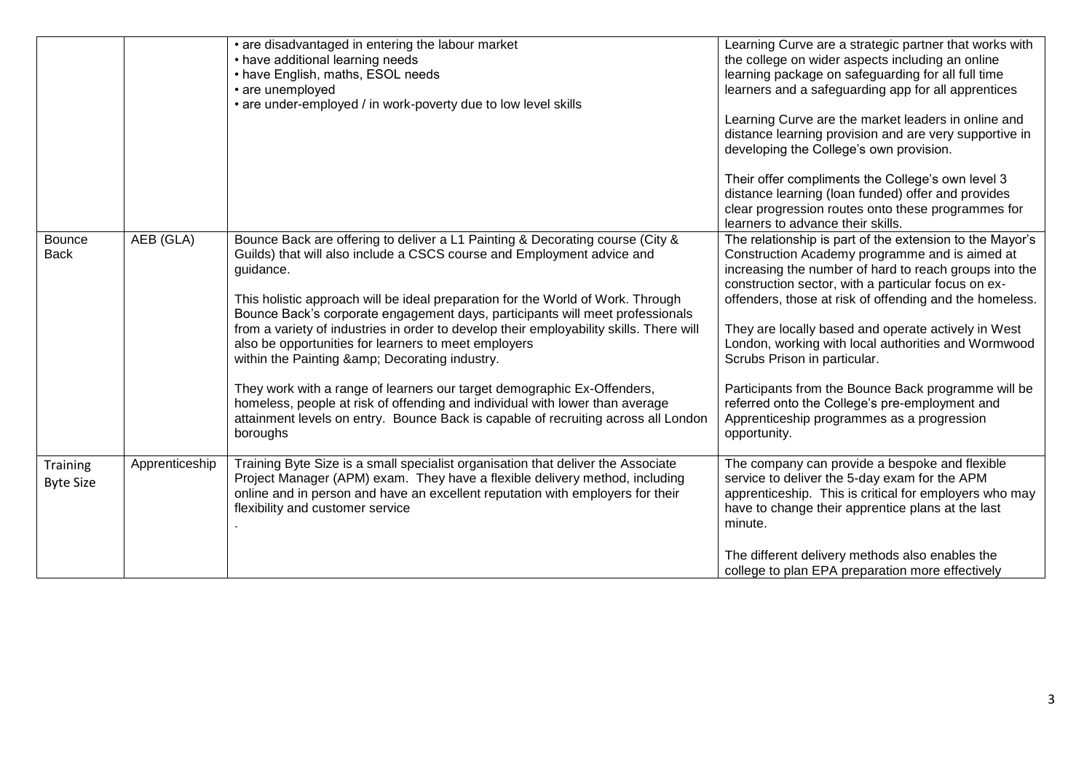|                              |                | • are disadvantaged in entering the labour market<br>• have additional learning needs<br>• have English, maths, ESOL needs<br>• are unemployed<br>• are under-employed / in work-poverty due to low level skills                                                                                                                                                                                                                                                                                                                                                                                                                                                                                                                                                                                       | Learning Curve are a strategic partner that works with<br>the college on wider aspects including an online<br>learning package on safeguarding for all full time<br>learners and a safeguarding app for all apprentices<br>Learning Curve are the market leaders in online and<br>distance learning provision and are very supportive in<br>developing the College's own provision.<br>Their offer compliments the College's own level 3<br>distance learning (loan funded) offer and provides<br>clear progression routes onto these programmes for<br>learners to advance their skills.                   |
|------------------------------|----------------|--------------------------------------------------------------------------------------------------------------------------------------------------------------------------------------------------------------------------------------------------------------------------------------------------------------------------------------------------------------------------------------------------------------------------------------------------------------------------------------------------------------------------------------------------------------------------------------------------------------------------------------------------------------------------------------------------------------------------------------------------------------------------------------------------------|-------------------------------------------------------------------------------------------------------------------------------------------------------------------------------------------------------------------------------------------------------------------------------------------------------------------------------------------------------------------------------------------------------------------------------------------------------------------------------------------------------------------------------------------------------------------------------------------------------------|
| <b>Bounce</b><br><b>Back</b> | AEB (GLA)      | Bounce Back are offering to deliver a L1 Painting & Decorating course (City &<br>Guilds) that will also include a CSCS course and Employment advice and<br>guidance.<br>This holistic approach will be ideal preparation for the World of Work. Through<br>Bounce Back's corporate engagement days, participants will meet professionals<br>from a variety of industries in order to develop their employability skills. There will<br>also be opportunities for learners to meet employers<br>within the Painting & Decorating industry.<br>They work with a range of learners our target demographic Ex-Offenders,<br>homeless, people at risk of offending and individual with lower than average<br>attainment levels on entry. Bounce Back is capable of recruiting across all London<br>boroughs | The relationship is part of the extension to the Mayor's<br>Construction Academy programme and is aimed at<br>increasing the number of hard to reach groups into the<br>construction sector, with a particular focus on ex-<br>offenders, those at risk of offending and the homeless.<br>They are locally based and operate actively in West<br>London, working with local authorities and Wormwood<br>Scrubs Prison in particular.<br>Participants from the Bounce Back programme will be<br>referred onto the College's pre-employment and<br>Apprenticeship programmes as a progression<br>opportunity. |
| Training<br><b>Byte Size</b> | Apprenticeship | Training Byte Size is a small specialist organisation that deliver the Associate<br>Project Manager (APM) exam. They have a flexible delivery method, including<br>online and in person and have an excellent reputation with employers for their<br>flexibility and customer service                                                                                                                                                                                                                                                                                                                                                                                                                                                                                                                  | The company can provide a bespoke and flexible<br>service to deliver the 5-day exam for the APM<br>apprenticeship. This is critical for employers who may<br>have to change their apprentice plans at the last<br>minute.<br>The different delivery methods also enables the<br>college to plan EPA preparation more effectively                                                                                                                                                                                                                                                                            |